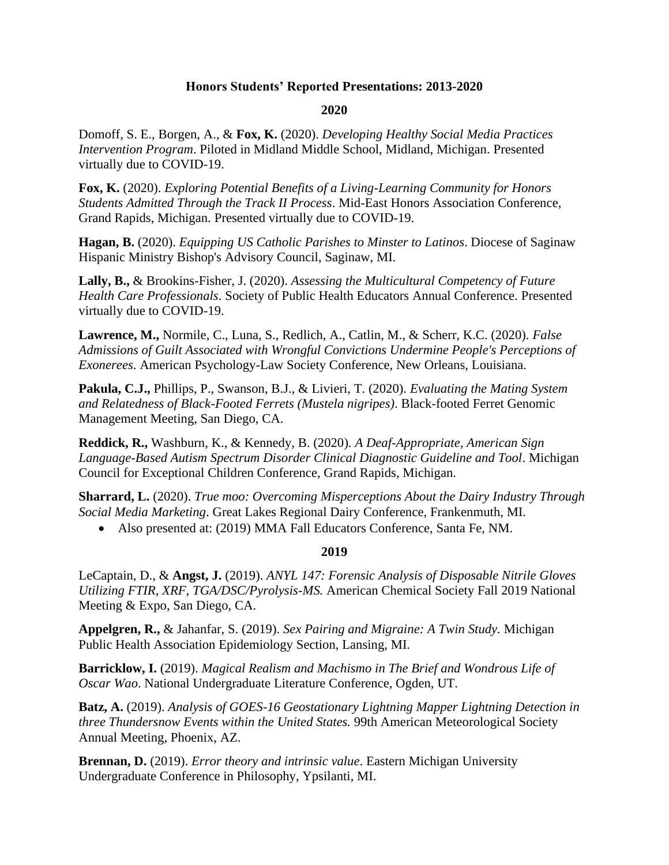# **Honors Students' Reported Presentations: 2013-2020**

### **2020**

Domoff, S. E., Borgen, A., & **Fox, K.** (2020). *Developing Healthy Social Media Practices Intervention Program*. Piloted in Midland Middle School, Midland, Michigan. Presented virtually due to COVID-19.

**Fox, K.** (2020). *Exploring Potential Benefits of a Living-Learning Community for Honors Students Admitted Through the Track II Process*. Mid-East Honors Association Conference, Grand Rapids, Michigan. Presented virtually due to COVID-19.

**Hagan, B.** (2020). *Equipping US Catholic Parishes to Minster to Latinos*. Diocese of Saginaw Hispanic Ministry Bishop's Advisory Council, Saginaw, MI.

**Lally, B.,** & Brookins-Fisher, J. (2020). *Assessing the Multicultural Competency of Future Health Care Professionals*. Society of Public Health Educators Annual Conference. Presented virtually due to COVID-19.

**Lawrence, M.,** Normile, C., Luna, S., Redlich, A., Catlin, M., & Scherr, K.C. (2020). *False Admissions of Guilt Associated with Wrongful Convictions Undermine People's Perceptions of Exonerees*. American Psychology-Law Society Conference, New Orleans, Louisiana.

**Pakula, C.J.,** Phillips, P., Swanson, B.J., & Livieri, T. (2020). *Evaluating the Mating System and Relatedness of Black-Footed Ferrets (Mustela nigripes)*. Black-footed Ferret Genomic Management Meeting, San Diego, CA.

**Reddick, R.,** Washburn, K., & Kennedy, B. (2020). *A Deaf-Appropriate, American Sign Language-Based Autism Spectrum Disorder Clinical Diagnostic Guideline and Tool*. Michigan Council for Exceptional Children Conference, Grand Rapids, Michigan.

**Sharrard, L.** (2020). *True moo: Overcoming Misperceptions About the Dairy Industry Through Social Media Marketing*. Great Lakes Regional Dairy Conference, Frankenmuth, MI.

• Also presented at: (2019) MMA Fall Educators Conference, Santa Fe, NM.

### **2019**

LeCaptain, D., & **Angst, J.** (2019). *ANYL 147: Forensic Analysis of Disposable Nitrile Gloves Utilizing FTIR, XRF, TGA/DSC/Pyrolysis-MS.* American Chemical Society Fall 2019 National Meeting & Expo, San Diego, CA.

**Appelgren, R.,** & Jahanfar, S. (2019). *Sex Pairing and Migraine: A Twin Study.* Michigan Public Health Association Epidemiology Section, Lansing, MI.

**Barricklow, I.** (2019). *Magical Realism and Machismo in The Brief and Wondrous Life of Oscar Wao*. National Undergraduate Literature Conference, Ogden, UT.

**Batz, A.** (2019). *Analysis of GOES-16 Geostationary Lightning Mapper Lightning Detection in three Thundersnow Events within the United States.* 99th American Meteorological Society Annual Meeting, Phoenix, AZ.

**Brennan, D.** (2019). *Error theory and intrinsic value*. Eastern Michigan University Undergraduate Conference in Philosophy, Ypsilanti, MI.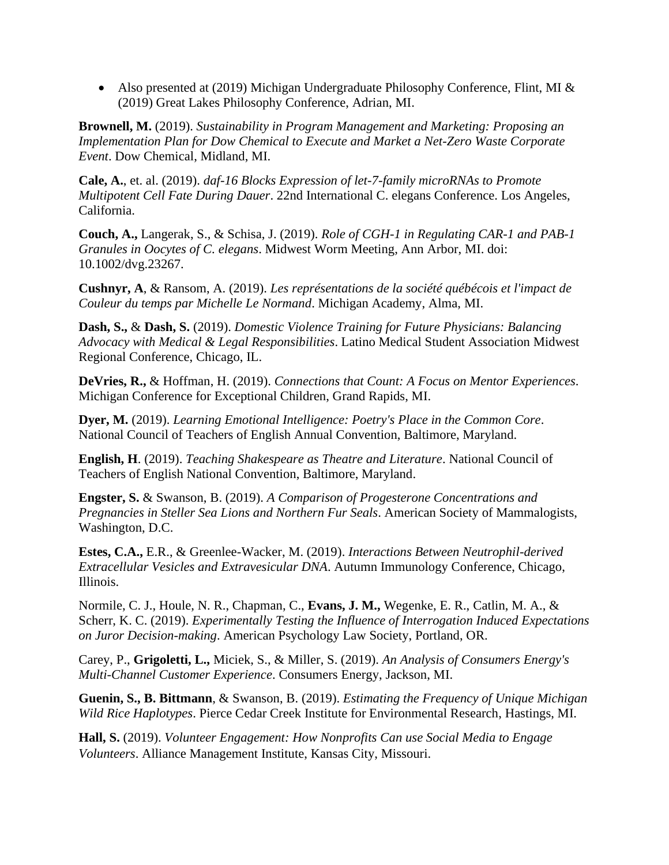• Also presented at (2019) Michigan Undergraduate Philosophy Conference, Flint, MI & (2019) Great Lakes Philosophy Conference, Adrian, MI.

**Brownell, M.** (2019). *Sustainability in Program Management and Marketing: Proposing an Implementation Plan for Dow Chemical to Execute and Market a Net-Zero Waste Corporate Event*. Dow Chemical, Midland, MI.

**Cale, A.**, et. al. (2019). *daf-16 Blocks Expression of let-7-family microRNAs to Promote Multipotent Cell Fate During Dauer*. 22nd International C. elegans Conference. Los Angeles, California.

**Couch, A.,** Langerak, S., & Schisa, J. (2019). *Role of CGH-1 in Regulating CAR-1 and PAB-1 Granules in Oocytes of C. elegans*. Midwest Worm Meeting, Ann Arbor, MI. doi: 10.1002/dvg.23267.

**Cushnyr, A**, & Ransom, A. (2019). *Les représentations de la société québécois et l'impact de Couleur du temps par Michelle Le Normand*. Michigan Academy, Alma, MI.

**Dash, S.,** & **Dash, S.** (2019). *Domestic Violence Training for Future Physicians: Balancing Advocacy with Medical & Legal Responsibilities*. Latino Medical Student Association Midwest Regional Conference, Chicago, IL.

**DeVries, R.,** & Hoffman, H. (2019). *Connections that Count: A Focus on Mentor Experiences*. Michigan Conference for Exceptional Children, Grand Rapids, MI.

**Dyer, M.** (2019). *Learning Emotional Intelligence: Poetry's Place in the Common Core*. National Council of Teachers of English Annual Convention, Baltimore, Maryland.

**English, H**. (2019). *Teaching Shakespeare as Theatre and Literature*. National Council of Teachers of English National Convention, Baltimore, Maryland.

**Engster, S.** & Swanson, B. (2019). *A Comparison of Progesterone Concentrations and Pregnancies in Steller Sea Lions and Northern Fur Seals*. American Society of Mammalogists, Washington, D.C.

**Estes, C.A.,** E.R., & Greenlee-Wacker, M. (2019). *Interactions Between Neutrophil-derived Extracellular Vesicles and Extravesicular DNA*. Autumn Immunology Conference, Chicago, Illinois.

Normile, C. J., Houle, N. R., Chapman, C., **Evans, J. M.,** Wegenke, E. R., Catlin, M. A., & Scherr, K. C. (2019). *Experimentally Testing the Influence of Interrogation Induced Expectations on Juror Decision-making*. American Psychology Law Society, Portland, OR.

Carey, P., **Grigoletti, L.,** Miciek, S., & Miller, S. (2019). *An Analysis of Consumers Energy's Multi-Channel Customer Experience*. Consumers Energy, Jackson, MI.

**Guenin, S., B. Bittmann**, & Swanson, B. (2019). *Estimating the Frequency of Unique Michigan Wild Rice Haplotypes*. Pierce Cedar Creek Institute for Environmental Research, Hastings, MI.

**Hall, S.** (2019). *Volunteer Engagement: How Nonprofits Can use Social Media to Engage Volunteers*. Alliance Management Institute, Kansas City, Missouri.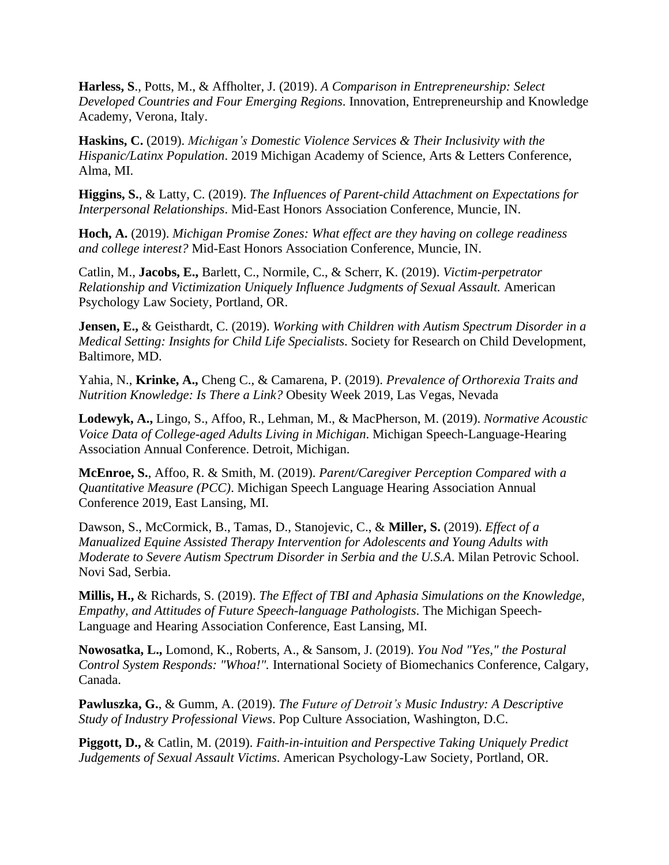**Harless, S**., Potts, M., & Affholter, J. (2019). *A Comparison in Entrepreneurship: Select Developed Countries and Four Emerging Regions*. Innovation, Entrepreneurship and Knowledge Academy, Verona, Italy.

**Haskins, C.** (2019). *Michigan's Domestic Violence Services & Their Inclusivity with the Hispanic/Latinx Population*. 2019 Michigan Academy of Science, Arts & Letters Conference, Alma, MI.

**Higgins, S.**, & Latty, C. (2019). *The Influences of Parent-child Attachment on Expectations for Interpersonal Relationships*. Mid-East Honors Association Conference, Muncie, IN.

**Hoch, A.** (2019). *Michigan Promise Zones: What effect are they having on college readiness and college interest?* Mid-East Honors Association Conference, Muncie, IN.

Catlin, M., **Jacobs, E.,** Barlett, C., Normile, C., & Scherr, K. (2019). *Victim-perpetrator Relationship and Victimization Uniquely Influence Judgments of Sexual Assault.* American Psychology Law Society, Portland, OR.

**Jensen, E.,** & Geisthardt, C. (2019). *Working with Children with Autism Spectrum Disorder in a Medical Setting: Insights for Child Life Specialists*. Society for Research on Child Development, Baltimore, MD.

Yahia, N., **Krinke, A.,** Cheng C., & Camarena, P. (2019). *Prevalence of Orthorexia Traits and Nutrition Knowledge: Is There a Link?* Obesity Week 2019, Las Vegas, Nevada

**Lodewyk, A.,** Lingo, S., Affoo, R., Lehman, M., & MacPherson, M. (2019). *Normative Acoustic Voice Data of College-aged Adults Living in Michigan*. Michigan Speech-Language-Hearing Association Annual Conference. Detroit, Michigan.

**McEnroe, S.**, Affoo, R. & Smith, M. (2019). *Parent/Caregiver Perception Compared with a Quantitative Measure (PCC)*. Michigan Speech Language Hearing Association Annual Conference 2019, East Lansing, MI.

Dawson, S., McCormick, B., Tamas, D., Stanojevic, C., & **Miller, S.** (2019). *Effect of a Manualized Equine Assisted Therapy Intervention for Adolescents and Young Adults with Moderate to Severe Autism Spectrum Disorder in Serbia and the U.S.A*. Milan Petrovic School. Novi Sad, Serbia.

**Millis, H.,** & Richards, S. (2019). *The Effect of TBI and Aphasia Simulations on the Knowledge, Empathy, and Attitudes of Future Speech-language Pathologists*. The Michigan Speech-Language and Hearing Association Conference, East Lansing, MI.

**Nowosatka, L.,** Lomond, K., Roberts, A., & Sansom, J. (2019). *You Nod "Yes," the Postural Control System Responds: "Whoa!".* International Society of Biomechanics Conference, Calgary, Canada.

**Pawluszka, G.**, & Gumm, A. (2019). *The Future of Detroit's Music Industry: A Descriptive Study of Industry Professional Views*. Pop Culture Association, Washington, D.C.

**Piggott, D.,** & Catlin, M. (2019). *Faith-in-intuition and Perspective Taking Uniquely Predict Judgements of Sexual Assault Victims*. American Psychology-Law Society, Portland, OR.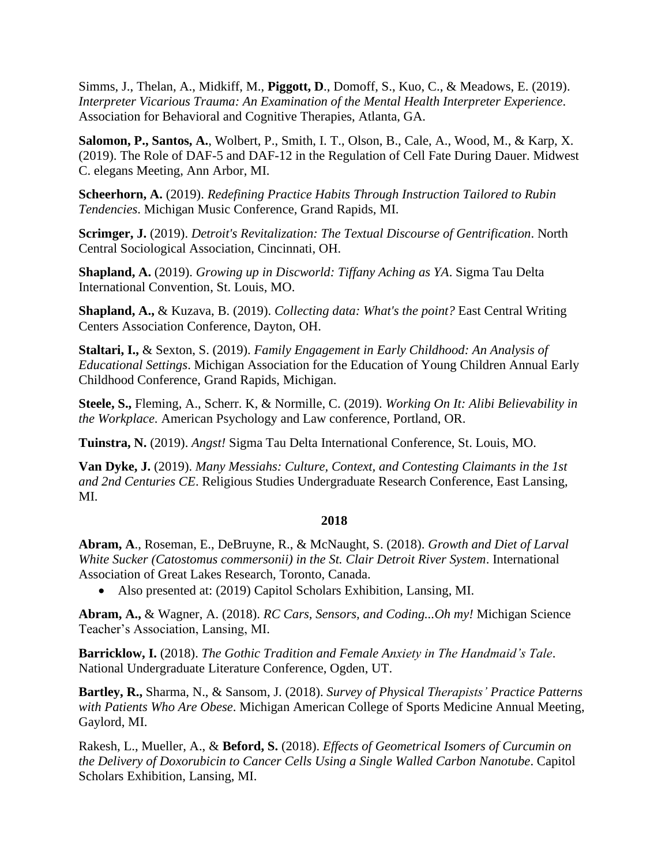Simms, J., Thelan, A., Midkiff, M., **Piggott, D**., Domoff, S., Kuo, C., & Meadows, E. (2019). *Interpreter Vicarious Trauma: An Examination of the Mental Health Interpreter Experience*. Association for Behavioral and Cognitive Therapies, Atlanta, GA.

**Salomon, P., Santos, A.**, Wolbert, P., Smith, I. T., Olson, B., Cale, A., Wood, M., & Karp, X. (2019). The Role of DAF-5 and DAF-12 in the Regulation of Cell Fate During Dauer. Midwest C. elegans Meeting, Ann Arbor, MI.

**Scheerhorn, A.** (2019). *Redefining Practice Habits Through Instruction Tailored to Rubin Tendencies*. Michigan Music Conference, Grand Rapids, MI.

**Scrimger, J.** (2019). *Detroit's Revitalization: The Textual Discourse of Gentrification*. North Central Sociological Association, Cincinnati, OH.

**Shapland, A.** (2019). *Growing up in Discworld: Tiffany Aching as YA*. Sigma Tau Delta International Convention, St. Louis, MO.

**Shapland, A.,** & Kuzava, B. (2019). *Collecting data: What's the point?* East Central Writing Centers Association Conference, Dayton, OH.

**Staltari, I.,** & Sexton, S. (2019). *Family Engagement in Early Childhood: An Analysis of Educational Settings*. Michigan Association for the Education of Young Children Annual Early Childhood Conference, Grand Rapids, Michigan.

**Steele, S.,** Fleming, A., Scherr. K, & Normille, C. (2019). *Working On It: Alibi Believability in the Workplace*. American Psychology and Law conference, Portland, OR.

**Tuinstra, N.** (2019). *Angst!* Sigma Tau Delta International Conference, St. Louis, MO.

**Van Dyke, J.** (2019). *Many Messiahs: Culture, Context, and Contesting Claimants in the 1st and 2nd Centuries CE*. Religious Studies Undergraduate Research Conference, East Lansing, MI.

### **2018**

**Abram, A**., Roseman, E., DeBruyne, R., & McNaught, S. (2018). *Growth and Diet of Larval White Sucker (Catostomus commersonii) in the St. Clair Detroit River System*. International Association of Great Lakes Research, Toronto, Canada.

• Also presented at: (2019) Capitol Scholars Exhibition, Lansing, MI.

**Abram, A.,** & Wagner, A. (2018). *RC Cars, Sensors, and Coding...Oh my!* Michigan Science Teacher's Association, Lansing, MI.

**Barricklow, I.** (2018). *The Gothic Tradition and Female Anxiety in The Handmaid's Tale*. National Undergraduate Literature Conference, Ogden, UT.

**Bartley, R.,** Sharma, N., & Sansom, J. (2018). *Survey of Physical Therapists' Practice Patterns with Patients Who Are Obese*. Michigan American College of Sports Medicine Annual Meeting, Gaylord, MI.

Rakesh, L., Mueller, A., & **Beford, S.** (2018). *Effects of Geometrical Isomers of Curcumin on the Delivery of Doxorubicin to Cancer Cells Using a Single Walled Carbon Nanotube*. Capitol Scholars Exhibition, Lansing, MI.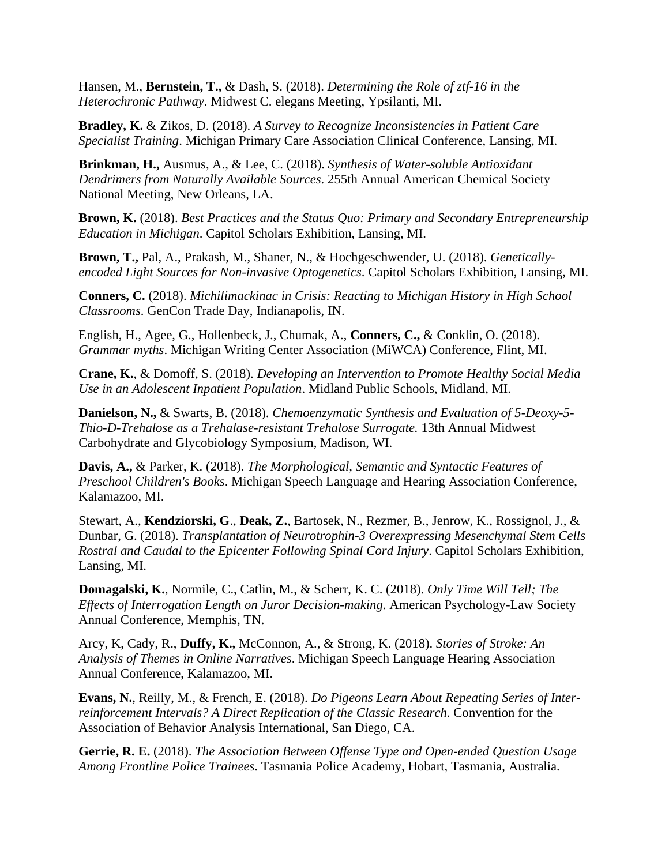Hansen, M., **Bernstein, T.,** & Dash, S. (2018). *Determining the Role of ztf-16 in the Heterochronic Pathway*. Midwest C. elegans Meeting, Ypsilanti, MI.

**Bradley, K.** & Zikos, D. (2018). *A Survey to Recognize Inconsistencies in Patient Care Specialist Training*. Michigan Primary Care Association Clinical Conference, Lansing, MI.

**Brinkman, H.,** Ausmus, A., & Lee, C. (2018). *Synthesis of Water-soluble Antioxidant Dendrimers from Naturally Available Sources*. 255th Annual American Chemical Society National Meeting, New Orleans, LA.

**Brown, K.** (2018). *Best Practices and the Status Quo: Primary and Secondary Entrepreneurship Education in Michigan*. Capitol Scholars Exhibition, Lansing, MI.

**Brown, T.,** Pal, A., Prakash, M., Shaner, N., & Hochgeschwender, U. (2018). *Geneticallyencoded Light Sources for Non-invasive Optogenetics*. Capitol Scholars Exhibition, Lansing, MI.

**Conners, C.** (2018). *Michilimackinac in Crisis: Reacting to Michigan History in High School Classrooms*. GenCon Trade Day, Indianapolis, IN.

English, H., Agee, G., Hollenbeck, J., Chumak, A., **Conners, C.,** & Conklin, O. (2018). *Grammar myths*. Michigan Writing Center Association (MiWCA) Conference, Flint, MI.

**Crane, K.**, & Domoff, S. (2018). *Developing an Intervention to Promote Healthy Social Media Use in an Adolescent Inpatient Population*. Midland Public Schools, Midland, MI.

**Danielson, N.,** & Swarts, B. (2018). *Chemoenzymatic Synthesis and Evaluation of 5-Deoxy-5- Thio-D-Trehalose as a Trehalase-resistant Trehalose Surrogate.* 13th Annual Midwest Carbohydrate and Glycobiology Symposium, Madison, WI.

**Davis, A.,** & Parker, K. (2018). *The Morphological, Semantic and Syntactic Features of Preschool Children's Books*. Michigan Speech Language and Hearing Association Conference, Kalamazoo, MI.

Stewart, A., **Kendziorski, G**., **Deak, Z.**, Bartosek, N., Rezmer, B., Jenrow, K., Rossignol, J., & Dunbar, G. (2018). *Transplantation of Neurotrophin-3 Overexpressing Mesenchymal Stem Cells Rostral and Caudal to the Epicenter Following Spinal Cord Injury*. Capitol Scholars Exhibition, Lansing, MI.

**Domagalski, K.**, Normile, C., Catlin, M., & Scherr, K. C. (2018). *Only Time Will Tell; The Effects of Interrogation Length on Juror Decision-making*. American Psychology-Law Society Annual Conference, Memphis, TN.

Arcy, K, Cady, R., **Duffy, K.,** McConnon, A., & Strong, K. (2018). *Stories of Stroke: An Analysis of Themes in Online Narratives*. Michigan Speech Language Hearing Association Annual Conference, Kalamazoo, MI.

**Evans, N.**, Reilly, M., & French, E. (2018). *Do Pigeons Learn About Repeating Series of Interreinforcement Intervals? A Direct Replication of the Classic Research*. Convention for the Association of Behavior Analysis International, San Diego, CA.

**Gerrie, R. E.** (2018). *The Association Between Offense Type and Open-ended Question Usage Among Frontline Police Trainees*. Tasmania Police Academy, Hobart, Tasmania, Australia.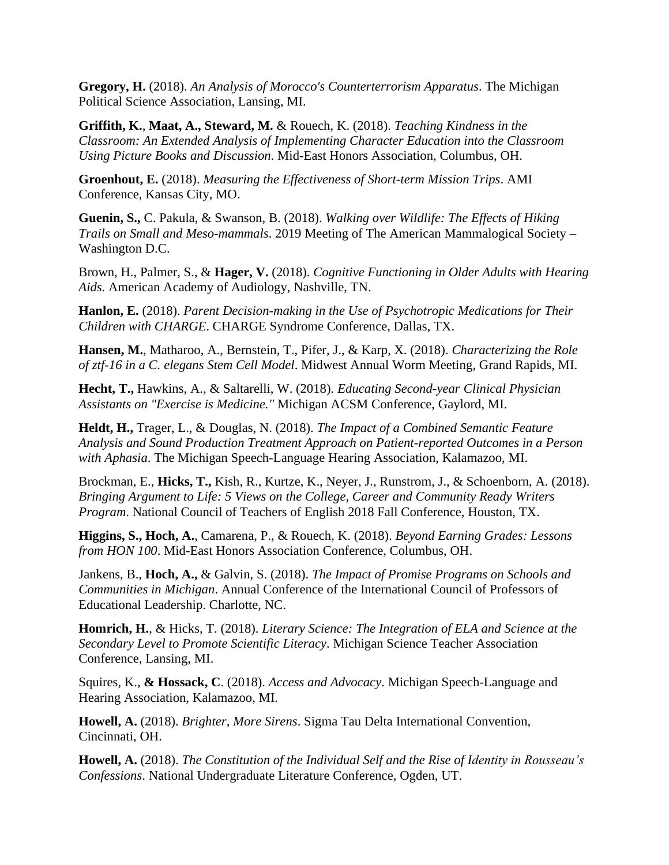**Gregory, H.** (2018). *An Analysis of Morocco's Counterterrorism Apparatus*. The Michigan Political Science Association, Lansing, MI.

**Griffith, K.**, **Maat, A., Steward, M.** & Rouech, K. (2018). *Teaching Kindness in the Classroom: An Extended Analysis of Implementing Character Education into the Classroom Using Picture Books and Discussion*. Mid-East Honors Association, Columbus, OH.

**Groenhout, E.** (2018). *Measuring the Effectiveness of Short-term Mission Trips*. AMI Conference, Kansas City, MO.

**Guenin, S.,** C. Pakula, & Swanson, B. (2018). *Walking over Wildlife: The Effects of Hiking Trails on Small and Meso-mammals*. 2019 Meeting of The American Mammalogical Society – Washington D.C.

Brown, H., Palmer, S., & **Hager, V.** (2018). *Cognitive Functioning in Older Adults with Hearing Aids.* American Academy of Audiology, Nashville, TN.

**Hanlon, E.** (2018). *Parent Decision-making in the Use of Psychotropic Medications for Their Children with CHARGE*. CHARGE Syndrome Conference, Dallas, TX.

**Hansen, M.**, Matharoo, A., Bernstein, T., Pifer, J., & Karp, X. (2018). *Characterizing the Role of ztf-16 in a C. elegans Stem Cell Model*. Midwest Annual Worm Meeting, Grand Rapids, MI.

**Hecht, T.,** Hawkins, A., & Saltarelli, W. (2018). *Educating Second-year Clinical Physician Assistants on "Exercise is Medicine."* Michigan ACSM Conference, Gaylord, MI.

**Heldt, H.,** Trager, L., & Douglas, N. (2018). *The Impact of a Combined Semantic Feature Analysis and Sound Production Treatment Approach on Patient-reported Outcomes in a Person with Aphasia*. The Michigan Speech-Language Hearing Association, Kalamazoo, MI.

Brockman, E., **Hicks, T.,** Kish, R., Kurtze, K., Neyer, J., Runstrom, J., & Schoenborn, A. (2018). *Bringing Argument to Life: 5 Views on the College, Career and Community Ready Writers Program*. National Council of Teachers of English 2018 Fall Conference, Houston, TX.

**Higgins, S., Hoch, A.**, Camarena, P., & Rouech, K. (2018). *Beyond Earning Grades: Lessons from HON 100*. Mid-East Honors Association Conference, Columbus, OH.

Jankens, B., **Hoch, A.,** & Galvin, S. (2018). *The Impact of Promise Programs on Schools and Communities in Michigan*. Annual Conference of the International Council of Professors of Educational Leadership. Charlotte, NC.

**Homrich, H.**, & Hicks, T. (2018). *Literary Science: The Integration of ELA and Science at the Secondary Level to Promote Scientific Literacy*. Michigan Science Teacher Association Conference, Lansing, MI.

Squires, K., **& Hossack, C**. (2018). *Access and Advocacy*. Michigan Speech-Language and Hearing Association, Kalamazoo, MI.

**Howell, A.** (2018). *Brighter, More Sirens*. Sigma Tau Delta International Convention, Cincinnati, OH.

**Howell, A.** (2018). *The Constitution of the Individual Self and the Rise of Identity in Rousseau's Confessions*. National Undergraduate Literature Conference, Ogden, UT.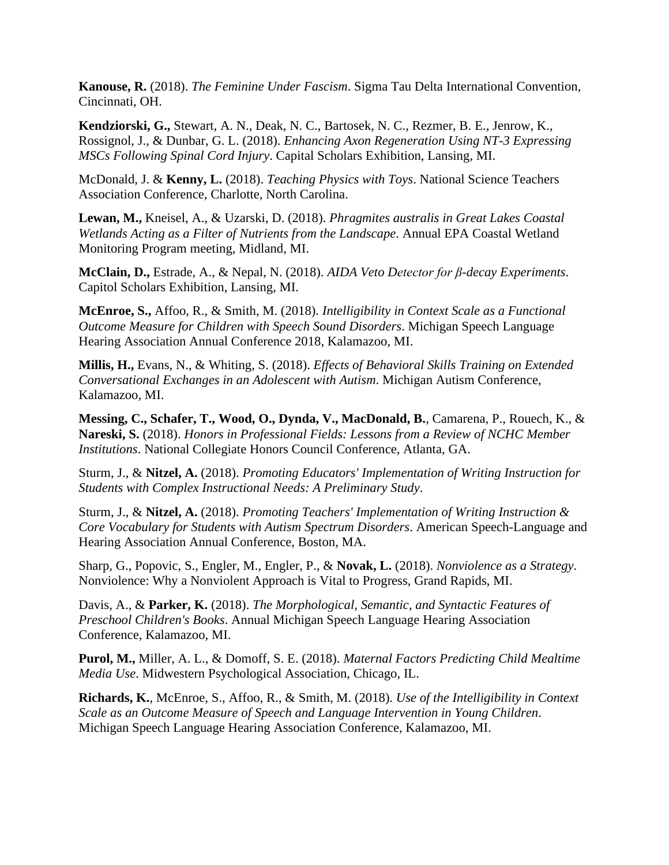**Kanouse, R.** (2018). *The Feminine Under Fascism*. Sigma Tau Delta International Convention, Cincinnati, OH.

**Kendziorski, G.,** Stewart, A. N., Deak, N. C., Bartosek, N. C., Rezmer, B. E., Jenrow, K., Rossignol, J., & Dunbar, G. L. (2018). *Enhancing Axon Regeneration Using NT-3 Expressing MSCs Following Spinal Cord Injury*. Capital Scholars Exhibition, Lansing, MI.

McDonald, J. & **Kenny, L.** (2018). *Teaching Physics with Toys*. National Science Teachers Association Conference, Charlotte, North Carolina.

**Lewan, M.,** Kneisel, A., & Uzarski, D. (2018). *Phragmites australis in Great Lakes Coastal Wetlands Acting as a Filter of Nutrients from the Landscape*. Annual EPA Coastal Wetland Monitoring Program meeting, Midland, MI.

**McClain, D.,** Estrade, A., & Nepal, N. (2018). *AIDA Veto Detector for β-decay Experiments*. Capitol Scholars Exhibition, Lansing, MI.

**McEnroe, S.,** Affoo, R., & Smith, M. (2018). *Intelligibility in Context Scale as a Functional Outcome Measure for Children with Speech Sound Disorders*. Michigan Speech Language Hearing Association Annual Conference 2018, Kalamazoo, MI.

**Millis, H.,** Evans, N., & Whiting, S. (2018). *Effects of Behavioral Skills Training on Extended Conversational Exchanges in an Adolescent with Autism*. Michigan Autism Conference, Kalamazoo, MI.

**Messing, C., Schafer, T., Wood, O., Dynda, V., MacDonald, B.**, Camarena, P., Rouech, K., & **Nareski, S.** (2018). *Honors in Professional Fields: Lessons from a Review of NCHC Member Institutions*. National Collegiate Honors Council Conference, Atlanta, GA.

Sturm, J., & **Nitzel, A.** (2018). *Promoting Educators' Implementation of Writing Instruction for Students with Complex Instructional Needs: A Preliminary Study*.

Sturm, J., & **Nitzel, A.** (2018). *Promoting Teachers' Implementation of Writing Instruction & Core Vocabulary for Students with Autism Spectrum Disorders*. American Speech-Language and Hearing Association Annual Conference, Boston, MA.

Sharp, G., Popovic, S., Engler, M., Engler, P., & **Novak, L.** (2018). *Nonviolence as a Strategy*. Nonviolence: Why a Nonviolent Approach is Vital to Progress, Grand Rapids, MI.

Davis, A., & **Parker, K.** (2018). *The Morphological, Semantic, and Syntactic Features of Preschool Children's Books*. Annual Michigan Speech Language Hearing Association Conference, Kalamazoo, MI.

**Purol, M.,** Miller, A. L., & Domoff, S. E. (2018). *Maternal Factors Predicting Child Mealtime Media Use*. Midwestern Psychological Association, Chicago, IL.

**Richards, K.**, McEnroe, S., Affoo, R., & Smith, M. (2018). *Use of the Intelligibility in Context Scale as an Outcome Measure of Speech and Language Intervention in Young Children*. Michigan Speech Language Hearing Association Conference, Kalamazoo, MI.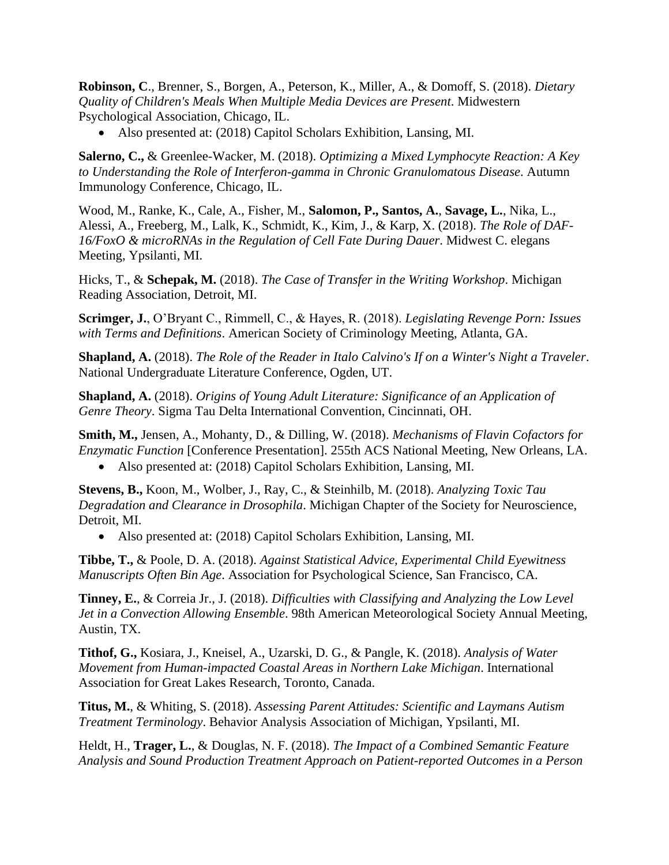**Robinson, C**., Brenner, S., Borgen, A., Peterson, K., Miller, A., & Domoff, S. (2018). *Dietary Quality of Children's Meals When Multiple Media Devices are Present*. Midwestern Psychological Association, Chicago, IL.

• Also presented at: (2018) Capitol Scholars Exhibition, Lansing, MI.

**Salerno, C.,** & Greenlee-Wacker, M. (2018). *Optimizing a Mixed Lymphocyte Reaction: A Key to Understanding the Role of Interferon-gamma in Chronic Granulomatous Disease*. Autumn Immunology Conference, Chicago, IL.

Wood, M., Ranke, K., Cale, A., Fisher, M., **Salomon, P., Santos, A.**, **Savage, L.**, Nika, L., Alessi, A., Freeberg, M., Lalk, K., Schmidt, K., Kim, J., & Karp, X. (2018). *The Role of DAF-16/FoxO & microRNAs in the Regulation of Cell Fate During Dauer*. Midwest C. elegans Meeting, Ypsilanti, MI.

Hicks, T., & **Schepak, M.** (2018). *The Case of Transfer in the Writing Workshop*. Michigan Reading Association, Detroit, MI.

**Scrimger, J.**, O'Bryant C., Rimmell, C., & Hayes, R. (2018). *Legislating Revenge Porn: Issues with Terms and Definitions*. American Society of Criminology Meeting, Atlanta, GA.

**Shapland, A.** (2018). *The Role of the Reader in Italo Calvino's If on a Winter's Night a Traveler*. National Undergraduate Literature Conference, Ogden, UT.

**Shapland, A.** (2018). *Origins of Young Adult Literature: Significance of an Application of Genre Theory*. Sigma Tau Delta International Convention, Cincinnati, OH.

**Smith, M.,** Jensen, A., Mohanty, D., & Dilling, W. (2018). *Mechanisms of Flavin Cofactors for Enzymatic Function* [Conference Presentation]. 255th ACS National Meeting, New Orleans, LA.

• Also presented at: (2018) Capitol Scholars Exhibition, Lansing, MI.

**Stevens, B.,** Koon, M., Wolber, J., Ray, C., & Steinhilb, M. (2018). *Analyzing Toxic Tau Degradation and Clearance in Drosophila*. Michigan Chapter of the Society for Neuroscience, Detroit, MI.

• Also presented at: (2018) Capitol Scholars Exhibition, Lansing, MI.

**Tibbe, T.,** & Poole, D. A. (2018). *Against Statistical Advice, Experimental Child Eyewitness Manuscripts Often Bin Age*. Association for Psychological Science, San Francisco, CA.

**Tinney, E.**, & Correia Jr., J. (2018). *Difficulties with Classifying and Analyzing the Low Level Jet in a Convection Allowing Ensemble*. 98th American Meteorological Society Annual Meeting, Austin, TX.

**Tithof, G.,** Kosiara, J., Kneisel, A., Uzarski, D. G., & Pangle, K. (2018). *Analysis of Water Movement from Human-impacted Coastal Areas in Northern Lake Michigan*. International Association for Great Lakes Research, Toronto, Canada.

**Titus, M.**, & Whiting, S. (2018). *Assessing Parent Attitudes: Scientific and Laymans Autism Treatment Terminology*. Behavior Analysis Association of Michigan, Ypsilanti, MI.

Heldt, H., **Trager, L.**, & Douglas, N. F. (2018). *The Impact of a Combined Semantic Feature Analysis and Sound Production Treatment Approach on Patient-reported Outcomes in a Person*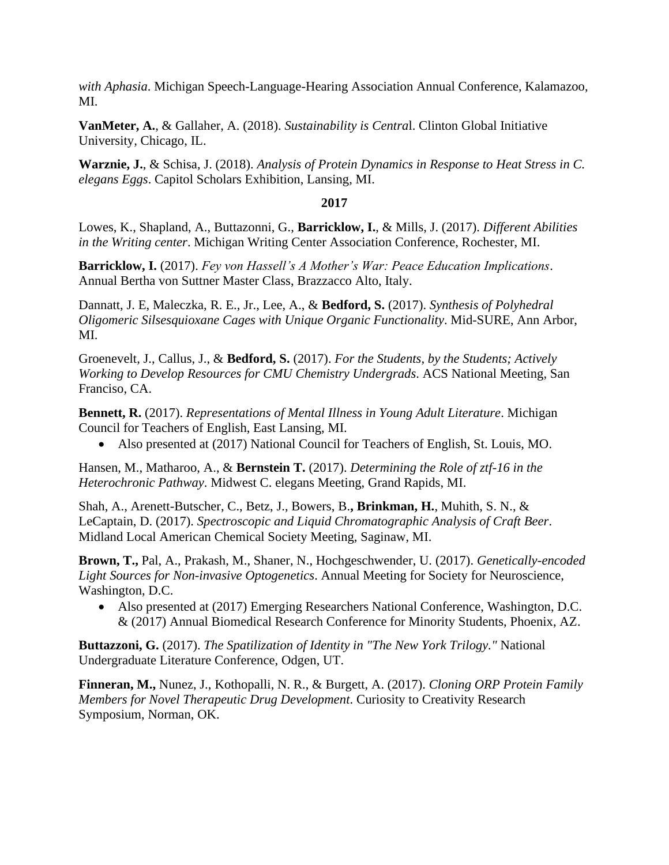*with Aphasia*. Michigan Speech-Language-Hearing Association Annual Conference, Kalamazoo, MI.

**VanMeter, A.**, & Gallaher, A. (2018). *Sustainability is Centra*l. Clinton Global Initiative University, Chicago, IL.

**Warznie, J.**, & Schisa, J. (2018). *Analysis of Protein Dynamics in Response to Heat Stress in C. elegans Eggs*. Capitol Scholars Exhibition, Lansing, MI.

### **2017**

Lowes, K., Shapland, A., Buttazonni, G., **Barricklow, I.**, & Mills, J. (2017). *Different Abilities in the Writing center*. Michigan Writing Center Association Conference, Rochester, MI.

**Barricklow, I.** (2017). *Fey von Hassell's A Mother's War: Peace Education Implications*. Annual Bertha von Suttner Master Class, Brazzacco Alto, Italy.

Dannatt, J. E, Maleczka, R. E., Jr., Lee, A., & **Bedford, S.** (2017). *Synthesis of Polyhedral Oligomeric Silsesquioxane Cages with Unique Organic Functionality*. Mid-SURE, Ann Arbor, MI.

Groenevelt, J., Callus, J., & **Bedford, S.** (2017). *For the Students, by the Students; Actively Working to Develop Resources for CMU Chemistry Undergrads*. ACS National Meeting, San Franciso, CA.

**Bennett, R.** (2017). *Representations of Mental Illness in Young Adult Literature*. Michigan Council for Teachers of English, East Lansing, MI.

• Also presented at (2017) National Council for Teachers of English, St. Louis, MO.

Hansen, M., Matharoo, A., & **Bernstein T.** (2017). *Determining the Role of ztf-16 in the Heterochronic Pathway*. Midwest C. elegans Meeting, Grand Rapids, MI.

Shah, A., Arenett-Butscher, C., Betz, J., Bowers, B.**, Brinkman, H.**, Muhith, S. N., & LeCaptain, D. (2017). *Spectroscopic and Liquid Chromatographic Analysis of Craft Beer*. Midland Local American Chemical Society Meeting, Saginaw, MI.

**Brown, T.,** Pal, A., Prakash, M., Shaner, N., Hochgeschwender, U. (2017). *Genetically-encoded Light Sources for Non-invasive Optogenetics*. Annual Meeting for Society for Neuroscience, Washington, D.C.

• Also presented at (2017) Emerging Researchers National Conference, Washington, D.C. & (2017) Annual Biomedical Research Conference for Minority Students, Phoenix, AZ.

**Buttazzoni, G.** (2017). *The Spatilization of Identity in "The New York Trilogy."* National Undergraduate Literature Conference, Odgen, UT.

**Finneran, M.,** Nunez, J., Kothopalli, N. R., & Burgett, A. (2017). *Cloning ORP Protein Family Members for Novel Therapeutic Drug Development*. Curiosity to Creativity Research Symposium, Norman, OK.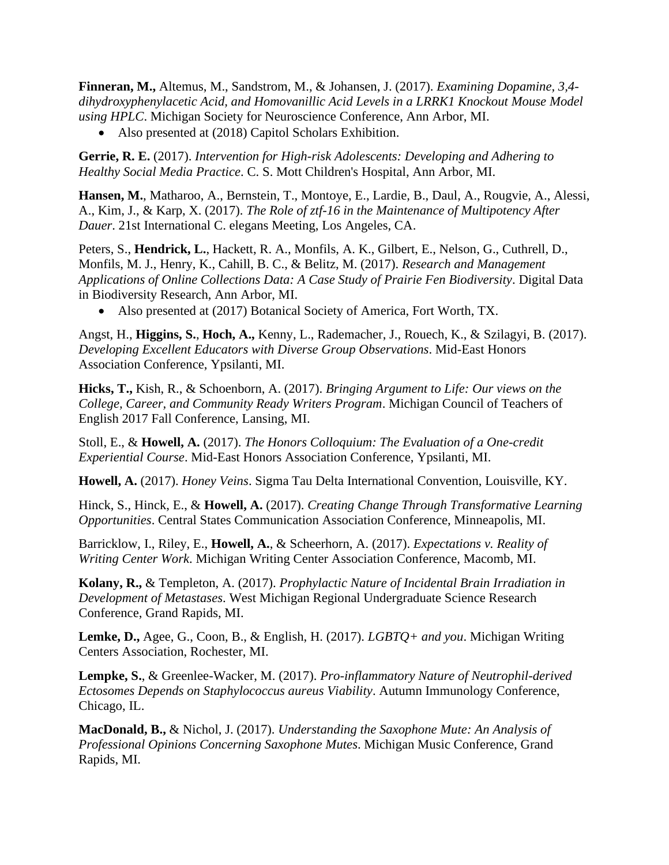**Finneran, M.,** Altemus, M., Sandstrom, M., & Johansen, J. (2017). *Examining Dopamine, 3,4 dihydroxyphenylacetic Acid, and Homovanillic Acid Levels in a LRRK1 Knockout Mouse Model using HPLC*. Michigan Society for Neuroscience Conference, Ann Arbor, MI.

• Also presented at (2018) Capitol Scholars Exhibition.

**Gerrie, R. E.** (2017). *Intervention for High-risk Adolescents: Developing and Adhering to Healthy Social Media Practice*. C. S. Mott Children's Hospital, Ann Arbor, MI.

**Hansen, M.**, Matharoo, A., Bernstein, T., Montoye, E., Lardie, B., Daul, A., Rougvie, A., Alessi, A., Kim, J., & Karp, X. (2017). *The Role of ztf-16 in the Maintenance of Multipotency After Dauer*. 21st International C. elegans Meeting, Los Angeles, CA.

Peters, S., **Hendrick, L.**, Hackett, R. A., Monfils, A. K., Gilbert, E., Nelson, G., Cuthrell, D., Monfils, M. J., Henry, K., Cahill, B. C., & Belitz, M. (2017). *Research and Management Applications of Online Collections Data: A Case Study of Prairie Fen Biodiversity*. Digital Data in Biodiversity Research, Ann Arbor, MI.

• Also presented at (2017) Botanical Society of America, Fort Worth, TX.

Angst, H., **Higgins, S.**, **Hoch, A.,** Kenny, L., Rademacher, J., Rouech, K., & Szilagyi, B. (2017). *Developing Excellent Educators with Diverse Group Observations*. Mid-East Honors Association Conference, Ypsilanti, MI.

**Hicks, T.,** Kish, R., & Schoenborn, A. (2017). *Bringing Argument to Life: Our views on the College, Career, and Community Ready Writers Program*. Michigan Council of Teachers of English 2017 Fall Conference, Lansing, MI.

Stoll, E., & **Howell, A.** (2017). *The Honors Colloquium: The Evaluation of a One-credit Experiential Course*. Mid-East Honors Association Conference, Ypsilanti, MI.

**Howell, A.** (2017). *Honey Veins*. Sigma Tau Delta International Convention, Louisville, KY.

Hinck, S., Hinck, E., & **Howell, A.** (2017). *Creating Change Through Transformative Learning Opportunities*. Central States Communication Association Conference, Minneapolis, MI.

Barricklow, I., Riley, E., **Howell, A.**, & Scheerhorn, A. (2017). *Expectations v. Reality of Writing Center Work*. Michigan Writing Center Association Conference, Macomb, MI.

**Kolany, R.,** & Templeton, A. (2017). *Prophylactic Nature of Incidental Brain Irradiation in Development of Metastases*. West Michigan Regional Undergraduate Science Research Conference, Grand Rapids, MI.

**Lemke, D.,** Agee, G., Coon, B., & English, H. (2017). *LGBTQ+ and you*. Michigan Writing Centers Association, Rochester, MI.

**Lempke, S.**, & Greenlee-Wacker, M. (2017). *Pro-inflammatory Nature of Neutrophil-derived Ectosomes Depends on Staphylococcus aureus Viability*. Autumn Immunology Conference, Chicago, IL.

**MacDonald, B.,** & Nichol, J. (2017). *Understanding the Saxophone Mute: An Analysis of Professional Opinions Concerning Saxophone Mutes*. Michigan Music Conference, Grand Rapids, MI.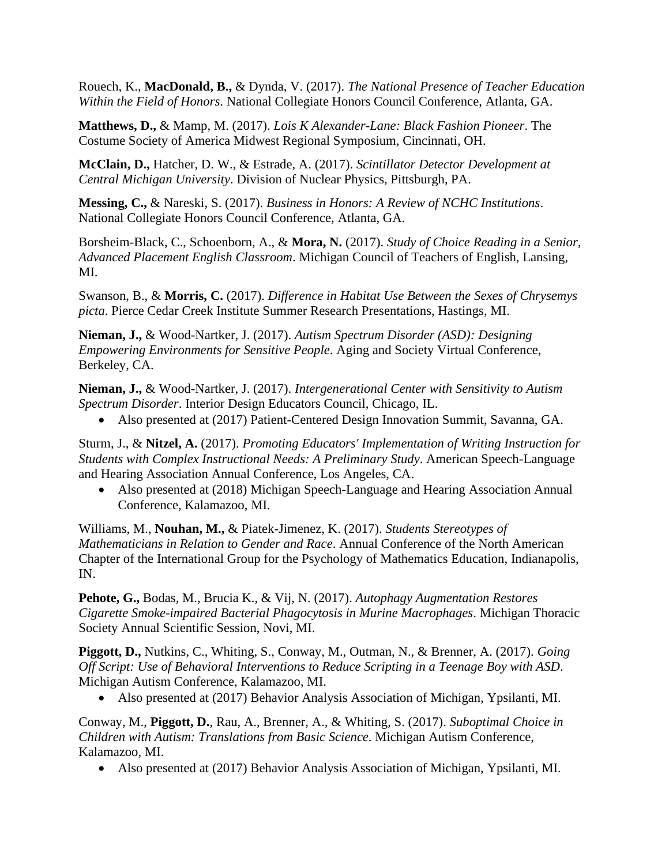Rouech, K., **MacDonald, B.,** & Dynda, V. (2017). *The National Presence of Teacher Education Within the Field of Honors*. National Collegiate Honors Council Conference, Atlanta, GA.

**Matthews, D.,** & Mamp, M. (2017). *Lois K Alexander-Lane: Black Fashion Pioneer*. The Costume Society of America Midwest Regional Symposium, Cincinnati, OH.

**McClain, D.,** Hatcher, D. W., & Estrade, A. (2017). *Scintillator Detector Development at Central Michigan University*. Division of Nuclear Physics, Pittsburgh, PA.

**Messing, C.,** & Nareski, S. (2017). *Business in Honors: A Review of NCHC Institutions*. National Collegiate Honors Council Conference, Atlanta, GA.

Borsheim-Black, C., Schoenborn, A., & **Mora, N.** (2017). *Study of Choice Reading in a Senior, Advanced Placement English Classroom*. Michigan Council of Teachers of English, Lansing, MI.

Swanson, B., & **Morris, C.** (2017). *Difference in Habitat Use Between the Sexes of Chrysemys picta*. Pierce Cedar Creek Institute Summer Research Presentations, Hastings, MI.

**Nieman, J.,** & Wood-Nartker, J. (2017). *Autism Spectrum Disorder (ASD): Designing Empowering Environments for Sensitive People*. Aging and Society Virtual Conference, Berkeley, CA.

**Nieman, J.,** & Wood-Nartker, J. (2017). *Intergenerational Center with Sensitivity to Autism Spectrum Disorder*. Interior Design Educators Council, Chicago, IL.

• Also presented at (2017) Patient-Centered Design Innovation Summit, Savanna, GA.

Sturm, J., & **Nitzel, A.** (2017). *Promoting Educators' Implementation of Writing Instruction for Students with Complex Instructional Needs: A Preliminary Study*. American Speech-Language and Hearing Association Annual Conference, Los Angeles, CA.

• Also presented at (2018) Michigan Speech-Language and Hearing Association Annual Conference, Kalamazoo, MI.

Williams, M., **Nouhan, M.,** & Piatek-Jimenez, K. (2017). *Students Stereotypes of Mathematicians in Relation to Gender and Race*. Annual Conference of the North American Chapter of the International Group for the Psychology of Mathematics Education, Indianapolis, IN.

**Pehote, G.,** Bodas, M., Brucia K., & Vij, N. (2017). *Autophagy Augmentation Restores Cigarette Smoke-impaired Bacterial Phagocytosis in Murine Macrophages*. Michigan Thoracic Society Annual Scientific Session, Novi, MI.

**Piggott, D.,** Nutkins, C., Whiting, S., Conway, M., Outman, N., & Brenner, A. (2017). *Going Off Script: Use of Behavioral Interventions to Reduce Scripting in a Teenage Boy with ASD*. Michigan Autism Conference, Kalamazoo, MI.

• Also presented at (2017) Behavior Analysis Association of Michigan, Ypsilanti, MI.

Conway, M., **Piggott, D.**, Rau, A., Brenner, A., & Whiting, S. (2017). *Suboptimal Choice in Children with Autism: Translations from Basic Science*. Michigan Autism Conference, Kalamazoo, MI.

• Also presented at (2017) Behavior Analysis Association of Michigan, Ypsilanti, MI.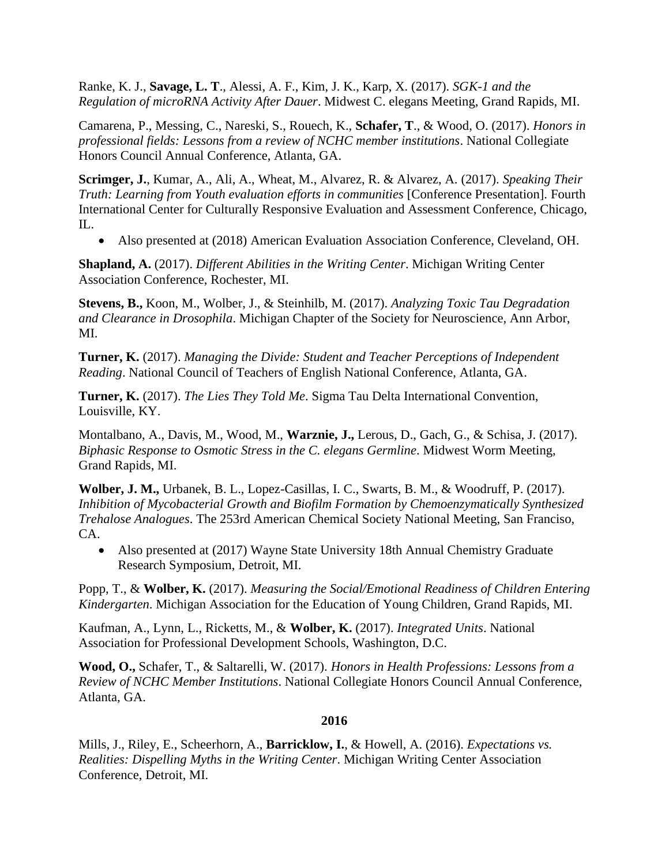Ranke, K. J., **Savage, L. T**., Alessi, A. F., Kim, J. K., Karp, X. (2017). *SGK-1 and the Regulation of microRNA Activity After Dauer*. Midwest C. elegans Meeting, Grand Rapids, MI.

Camarena, P., Messing, C., Nareski, S., Rouech, K., **Schafer, T**., & Wood, O. (2017). *Honors in professional fields: Lessons from a review of NCHC member institutions*. National Collegiate Honors Council Annual Conference, Atlanta, GA.

**Scrimger, J.**, Kumar, A., Ali, A., Wheat, M., Alvarez, R. & Alvarez, A. (2017). *Speaking Their Truth: Learning from Youth evaluation efforts in communities* [Conference Presentation]. Fourth International Center for Culturally Responsive Evaluation and Assessment Conference, Chicago, IL.

• Also presented at (2018) American Evaluation Association Conference, Cleveland, OH.

**Shapland, A.** (2017). *Different Abilities in the Writing Center*. Michigan Writing Center Association Conference, Rochester, MI.

**Stevens, B.,** Koon, M., Wolber, J., & Steinhilb, M. (2017). *Analyzing Toxic Tau Degradation and Clearance in Drosophila*. Michigan Chapter of the Society for Neuroscience, Ann Arbor, MI.

**Turner, K.** (2017). *Managing the Divide: Student and Teacher Perceptions of Independent Reading*. National Council of Teachers of English National Conference, Atlanta, GA.

**Turner, K.** (2017). *The Lies They Told Me*. Sigma Tau Delta International Convention, Louisville, KY.

Montalbano, A., Davis, M., Wood, M., **Warznie, J.,** Lerous, D., Gach, G., & Schisa, J. (2017). *Biphasic Response to Osmotic Stress in the C. elegans Germline*. Midwest Worm Meeting, Grand Rapids, MI.

**Wolber, J. M.,** Urbanek, B. L., Lopez-Casillas, I. C., Swarts, B. M., & Woodruff, P. (2017). *Inhibition of Mycobacterial Growth and Biofilm Formation by Chemoenzymatically Synthesized Trehalose Analogues*. The 253rd American Chemical Society National Meeting, San Franciso, CA.

• Also presented at (2017) Wayne State University 18th Annual Chemistry Graduate Research Symposium, Detroit, MI.

Popp, T., & **Wolber, K.** (2017). *Measuring the Social/Emotional Readiness of Children Entering Kindergarten*. Michigan Association for the Education of Young Children, Grand Rapids, MI.

Kaufman, A., Lynn, L., Ricketts, M., & **Wolber, K.** (2017). *Integrated Units*. National Association for Professional Development Schools, Washington, D.C.

**Wood, O.,** Schafer, T., & Saltarelli, W. (2017). *Honors in Health Professions: Lessons from a Review of NCHC Member Institutions*. National Collegiate Honors Council Annual Conference, Atlanta, GA.

### **2016**

Mills, J., Riley, E., Scheerhorn, A., **Barricklow, I.**, & Howell, A. (2016). *Expectations vs. Realities: Dispelling Myths in the Writing Center*. Michigan Writing Center Association Conference, Detroit, MI.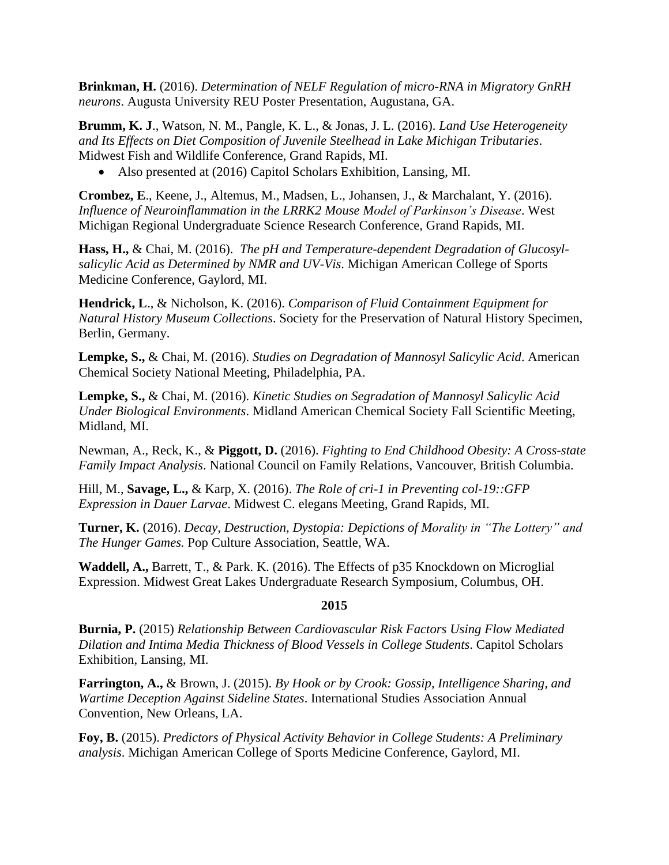**Brinkman, H.** (2016). *Determination of NELF Regulation of micro-RNA in Migratory GnRH neurons*. Augusta University REU Poster Presentation, Augustana, GA.

**Brumm, K. J**., Watson, N. M., Pangle, K. L., & Jonas, J. L. (2016). *Land Use Heterogeneity and Its Effects on Diet Composition of Juvenile Steelhead in Lake Michigan Tributaries*. Midwest Fish and Wildlife Conference, Grand Rapids, MI.

• Also presented at (2016) Capitol Scholars Exhibition, Lansing, MI.

**Crombez, E**., Keene, J., Altemus, M., Madsen, L., Johansen, J., & Marchalant, Y. (2016). *Influence of Neuroinflammation in the LRRK2 Mouse Model of Parkinson's Disease*. West Michigan Regional Undergraduate Science Research Conference, Grand Rapids, MI.

**Hass, H.,** & Chai, M. (2016). *The pH and Temperature-dependent Degradation of Glucosylsalicylic Acid as Determined by NMR and UV-Vis*. Michigan American College of Sports Medicine Conference, Gaylord, MI.

**Hendrick, L**., & Nicholson, K. (2016). *Comparison of Fluid Containment Equipment for Natural History Museum Collections*. Society for the Preservation of Natural History Specimen, Berlin, Germany.

**Lempke, S.,** & Chai, M. (2016). *Studies on Degradation of Mannosyl Salicylic Acid*. American Chemical Society National Meeting, Philadelphia, PA.

**Lempke, S.,** & Chai, M. (2016). *Kinetic Studies on Segradation of Mannosyl Salicylic Acid Under Biological Environments*. Midland American Chemical Society Fall Scientific Meeting, Midland, MI.

Newman, A., Reck, K., & **Piggott, D.** (2016). *Fighting to End Childhood Obesity: A Cross-state Family Impact Analysis*. National Council on Family Relations, Vancouver, British Columbia.

Hill, M., **Savage, L.,** & Karp, X. (2016). *The Role of cri-1 in Preventing col-19::GFP Expression in Dauer Larvae*. Midwest C. elegans Meeting, Grand Rapids, MI.

**Turner, K.** (2016). *Decay, Destruction, Dystopia: Depictions of Morality in "The Lottery" and The Hunger Games.* Pop Culture Association, Seattle, WA.

**Waddell, A.,** Barrett, T., & Park. K. (2016). The Effects of p35 Knockdown on Microglial Expression. Midwest Great Lakes Undergraduate Research Symposium, Columbus, OH.

# **2015**

**Burnia, P.** (2015) *Relationship Between Cardiovascular Risk Factors Using Flow Mediated Dilation and Intima Media Thickness of Blood Vessels in College Students*. Capitol Scholars Exhibition, Lansing, MI.

**Farrington, A.,** & Brown, J. (2015). *By Hook or by Crook: Gossip, Intelligence Sharing, and Wartime Deception Against Sideline States*. International Studies Association Annual Convention, New Orleans, LA.

**Foy, B.** (2015). *Predictors of Physical Activity Behavior in College Students: A Preliminary analysis*. Michigan American College of Sports Medicine Conference, Gaylord, MI.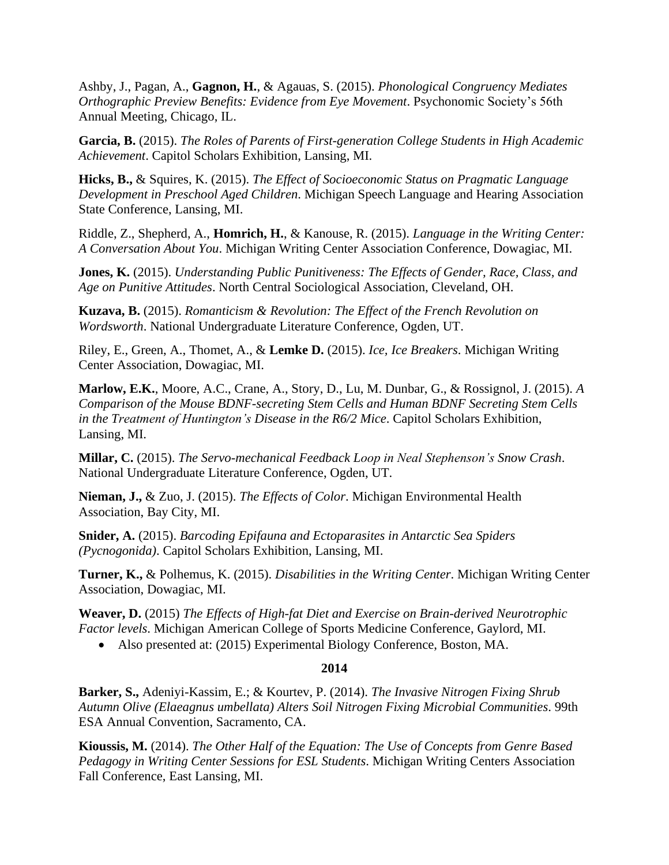Ashby, J., Pagan, A., **Gagnon, H.**, & Agauas, S. (2015). *Phonological Congruency Mediates Orthographic Preview Benefits: Evidence from Eye Movement*. Psychonomic Society's 56th Annual Meeting, Chicago, IL.

**Garcia, B.** (2015). *The Roles of Parents of First-generation College Students in High Academic Achievement*. Capitol Scholars Exhibition, Lansing, MI.

**Hicks, B.,** & Squires, K. (2015). *The Effect of Socioeconomic Status on Pragmatic Language Development in Preschool Aged Children*. Michigan Speech Language and Hearing Association State Conference, Lansing, MI.

Riddle, Z., Shepherd, A., **Homrich, H.**, & Kanouse, R. (2015). *Language in the Writing Center: A Conversation About You*. Michigan Writing Center Association Conference, Dowagiac, MI.

**Jones, K.** (2015). *Understanding Public Punitiveness: The Effects of Gender, Race, Class, and Age on Punitive Attitudes*. North Central Sociological Association, Cleveland, OH.

**Kuzava, B.** (2015). *Romanticism & Revolution: The Effect of the French Revolution on Wordsworth*. National Undergraduate Literature Conference, Ogden, UT.

Riley, E., Green, A., Thomet, A., & **Lemke D.** (2015). *Ice, Ice Breakers*. Michigan Writing Center Association, Dowagiac, MI.

**Marlow, E.K.**, Moore, A.C., Crane, A., Story, D., Lu, M. Dunbar, G., & Rossignol, J. (2015). *A Comparison of the Mouse BDNF-secreting Stem Cells and Human BDNF Secreting Stem Cells in the Treatment of Huntington's Disease in the R6/2 Mice*. Capitol Scholars Exhibition, Lansing, MI.

**Millar, C.** (2015). *The Servo-mechanical Feedback Loop in Neal Stephenson's Snow Crash*. National Undergraduate Literature Conference, Ogden, UT.

**Nieman, J.,** & Zuo, J. (2015). *The Effects of Color*. Michigan Environmental Health Association, Bay City, MI.

**Snider, A.** (2015). *Barcoding Epifauna and Ectoparasites in Antarctic Sea Spiders (Pycnogonida)*. Capitol Scholars Exhibition, Lansing, MI.

**Turner, K.,** & Polhemus, K. (2015). *Disabilities in the Writing Center*. Michigan Writing Center Association, Dowagiac, MI.

**Weaver, D.** (2015) *The Effects of High-fat Diet and Exercise on Brain-derived Neurotrophic Factor levels*. Michigan American College of Sports Medicine Conference, Gaylord, MI.

• Also presented at: (2015) Experimental Biology Conference, Boston, MA.

### **2014**

**Barker, S.,** Adeniyi-Kassim, E.; & Kourtev, P. (2014). *The Invasive Nitrogen Fixing Shrub Autumn Olive (Elaeagnus umbellata) Alters Soil Nitrogen Fixing Microbial Communities*. 99th ESA Annual Convention, Sacramento, CA.

**Kioussis, M.** (2014). *The Other Half of the Equation: The Use of Concepts from Genre Based Pedagogy in Writing Center Sessions for ESL Students*. Michigan Writing Centers Association Fall Conference, East Lansing, MI.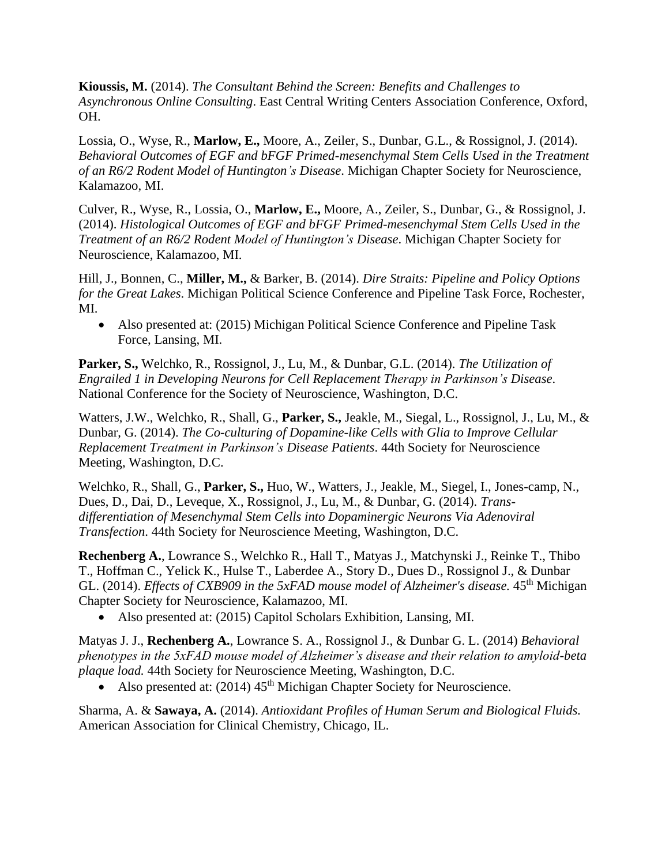**Kioussis, M.** (2014). *The Consultant Behind the Screen: Benefits and Challenges to Asynchronous Online Consulting*. East Central Writing Centers Association Conference, Oxford, OH.

Lossia, O., Wyse, R., **Marlow, E.,** Moore, A., Zeiler, S., Dunbar, G.L., & Rossignol, J. (2014). *Behavioral Outcomes of EGF and bFGF Primed-mesenchymal Stem Cells Used in the Treatment of an R6/2 Rodent Model of Huntington's Disease*. Michigan Chapter Society for Neuroscience, Kalamazoo, MI.

Culver, R., Wyse, R., Lossia, O., **Marlow, E.,** Moore, A., Zeiler, S., Dunbar, G., & Rossignol, J. (2014). *Histological Outcomes of EGF and bFGF Primed-mesenchymal Stem Cells Used in the Treatment of an R6/2 Rodent Model of Huntington's Disease*. Michigan Chapter Society for Neuroscience, Kalamazoo, MI.

Hill, J., Bonnen, C., **Miller, M.,** & Barker, B. (2014). *Dire Straits: Pipeline and Policy Options for the Great Lakes*. Michigan Political Science Conference and Pipeline Task Force, Rochester, MI.

• Also presented at: (2015) Michigan Political Science Conference and Pipeline Task Force, Lansing, MI.

**Parker, S.,** Welchko, R., Rossignol, J., Lu, M., & Dunbar, G.L. (2014). *The Utilization of Engrailed 1 in Developing Neurons for Cell Replacement Therapy in Parkinson's Disease*. National Conference for the Society of Neuroscience, Washington, D.C.

Watters, J.W., Welchko, R., Shall, G., **Parker, S.,** Jeakle, M., Siegal, L., Rossignol, J., Lu, M., & Dunbar, G. (2014). *The Co-culturing of Dopamine-like Cells with Glia to Improve Cellular Replacement Treatment in Parkinson's Disease Patients*. 44th Society for Neuroscience Meeting, Washington, D.C.

Welchko, R., Shall, G., **Parker, S.,** Huo, W., Watters, J., Jeakle, M., Siegel, I., Jones-camp, N., Dues, D., Dai, D., Leveque, X., Rossignol, J., Lu, M., & Dunbar, G. (2014). *Transdifferentiation of Mesenchymal Stem Cells into Dopaminergic Neurons Via Adenoviral Transfection*. 44th Society for Neuroscience Meeting, Washington, D.C.

**Rechenberg A.**, Lowrance S., Welchko R., Hall T., Matyas J., Matchynski J., Reinke T., Thibo T., Hoffman C., Yelick K., Hulse T., Laberdee A., Story D., Dues D., Rossignol J., & Dunbar GL. (2014). *Effects of CXB909 in the 5xFAD mouse model of Alzheimer's disease*. 45<sup>th</sup> Michigan Chapter Society for Neuroscience, Kalamazoo, MI.

• Also presented at: (2015) Capitol Scholars Exhibition, Lansing, MI.

Matyas J. J., **Rechenberg A.**, Lowrance S. A., Rossignol J., & Dunbar G. L. (2014) *Behavioral phenotypes in the 5xFAD mouse model of Alzheimer's disease and their relation to amyloid-beta plaque load.* 44th Society for Neuroscience Meeting, Washington, D.C.

• Also presented at:  $(2014)$  45<sup>th</sup> Michigan Chapter Society for Neuroscience.

Sharma, A. & **Sawaya, A.** (2014). *Antioxidant Profiles of Human Serum and Biological Fluids.* American Association for Clinical Chemistry, Chicago, IL.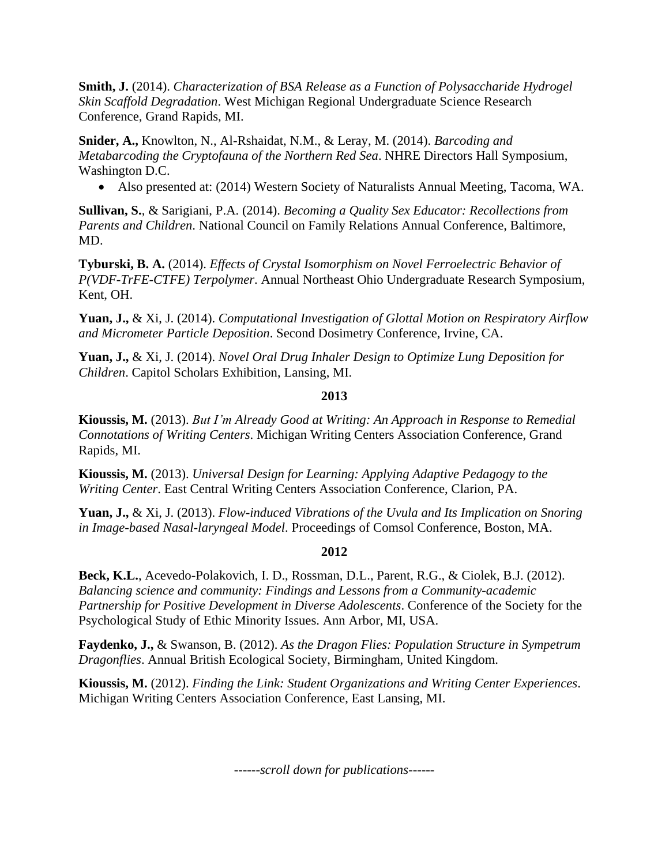**Smith, J.** (2014). *Characterization of BSA Release as a Function of Polysaccharide Hydrogel Skin Scaffold Degradation*. West Michigan Regional Undergraduate Science Research Conference, Grand Rapids, MI.

**Snider, A.,** Knowlton, N., Al-Rshaidat, N.M., & Leray, M. (2014). *Barcoding and Metabarcoding the Cryptofauna of the Northern Red Sea*. NHRE Directors Hall Symposium, Washington D.C.

• Also presented at: (2014) Western Society of Naturalists Annual Meeting, Tacoma, WA.

**Sullivan, S.**, & Sarigiani, P.A. (2014). *Becoming a Quality Sex Educator: Recollections from Parents and Children*. National Council on Family Relations Annual Conference, Baltimore, MD.

**Tyburski, B. A.** (2014). *Effects of Crystal Isomorphism on Novel Ferroelectric Behavior of P(VDF-TrFE-CTFE) Terpolymer*. Annual Northeast Ohio Undergraduate Research Symposium, Kent, OH.

**Yuan, J.,** & Xi, J. (2014). *Computational Investigation of Glottal Motion on Respiratory Airflow and Micrometer Particle Deposition*. Second Dosimetry Conference, Irvine, CA.

**Yuan, J.,** & Xi, J. (2014). *Novel Oral Drug Inhaler Design to Optimize Lung Deposition for Children*. Capitol Scholars Exhibition, Lansing, MI.

# **2013**

**Kioussis, M.** (2013). *But I'm Already Good at Writing: An Approach in Response to Remedial Connotations of Writing Centers*. Michigan Writing Centers Association Conference, Grand Rapids, MI.

**Kioussis, M.** (2013). *Universal Design for Learning: Applying Adaptive Pedagogy to the Writing Center*. East Central Writing Centers Association Conference, Clarion, PA.

**Yuan, J.,** & Xi, J. (2013). *Flow-induced Vibrations of the Uvula and Its Implication on Snoring in Image-based Nasal-laryngeal Model*. Proceedings of Comsol Conference, Boston, MA.

# **2012**

**Beck, K.L.**, Acevedo-Polakovich, I. D., Rossman, D.L., Parent, R.G., & Ciolek, B.J. (2012). *Balancing science and community: Findings and Lessons from a Community-academic Partnership for Positive Development in Diverse Adolescents*. Conference of the Society for the Psychological Study of Ethic Minority Issues. Ann Arbor, MI, USA.

**Faydenko, J.,** & Swanson, B. (2012). *As the Dragon Flies: Population Structure in Sympetrum Dragonflies*. Annual British Ecological Society, Birmingham, United Kingdom.

**Kioussis, M.** (2012). *Finding the Link: Student Organizations and Writing Center Experiences*. Michigan Writing Centers Association Conference, East Lansing, MI.

*------scroll down for publications------*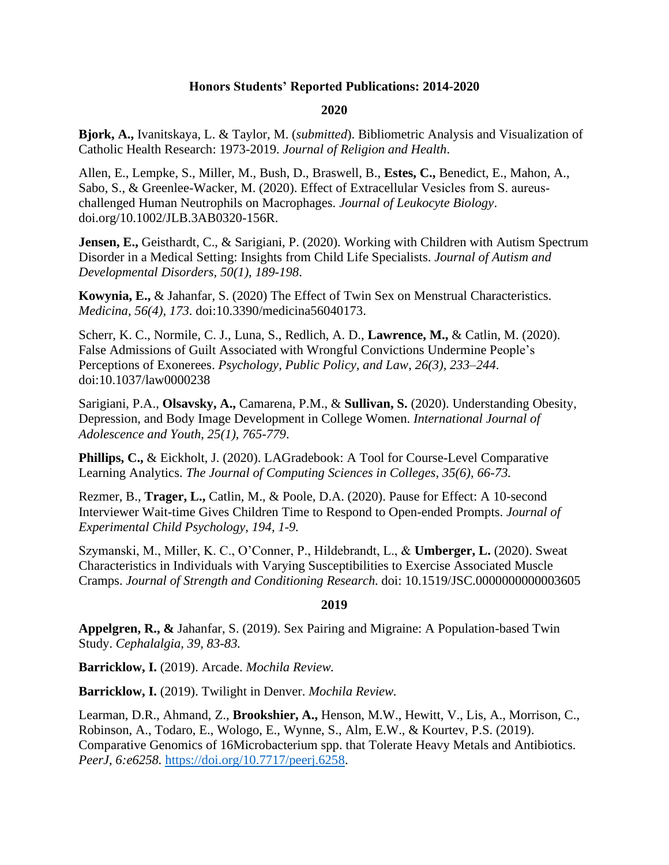# **Honors Students' Reported Publications: 2014-2020**

#### **2020**

**Bjork, A.,** Ivanitskaya, L. & Taylor, M. (*submitted*). Bibliometric Analysis and Visualization of Catholic Health Research: 1973-2019. *Journal of Religion and Health*.

Allen, E., Lempke, S., Miller, M., Bush, D., Braswell, B., **Estes, C.,** Benedict, E., Mahon, A., Sabo, S., & Greenlee-Wacker, M. (2020). Effect of Extracellular Vesicles from S. aureus‐ challenged Human Neutrophils on Macrophages. *Journal of Leukocyte Biology*. doi.org/10.1002/JLB.3AB0320-156R.

**Jensen, E.,** Geisthardt, C., & Sarigiani, P. (2020). Working with Children with Autism Spectrum Disorder in a Medical Setting: Insights from Child Life Specialists. *Journal of Autism and Developmental Disorders, 50(1), 189-198*.

**Kowynia, E.,** & Jahanfar, S. (2020) The Effect of Twin Sex on Menstrual Characteristics. *Medicina*, *56(4), 173*. doi:10.3390/medicina56040173.

Scherr, K. C., Normile, C. J., Luna, S., Redlich, A. D., **Lawrence, M.,** & Catlin, M. (2020). False Admissions of Guilt Associated with Wrongful Convictions Undermine People's Perceptions of Exonerees. *Psychology, Public Policy, and Law*, *26(3), 233–244*. doi:10.1037/law0000238

Sarigiani, P.A., **Olsavsky, A.,** Camarena, P.M., & **Sullivan, S.** (2020). Understanding Obesity, Depression, and Body Image Development in College Women. *International Journal of Adolescence and Youth, 25(1), 765-779*.

**Phillips, C., & Eickholt, J. (2020). LAGradebook: A Tool for Course-Level Comparative** Learning Analytics. *The Journal of Computing Sciences in Colleges, 35(6), 66-73.*

Rezmer, B., **Trager, L.,** Catlin, M., & Poole, D.A. (2020). Pause for Effect: A 10-second Interviewer Wait-time Gives Children Time to Respond to Open-ended Prompts. *Journal of Experimental Child Psychology, 194, 1-9.*

Szymanski, M., Miller, K. C., O'Conner, P., Hildebrandt, L., & **Umberger, L.** (2020). Sweat Characteristics in Individuals with Varying Susceptibilities to Exercise Associated Muscle Cramps. *Journal of Strength and Conditioning Research.* doi: 10.1519/JSC.0000000000003605

### **2019**

**Appelgren, R., &** Jahanfar, S. (2019). Sex Pairing and Migraine: A Population-based Twin Study. *Cephalalgia, 39, 83-83.*

**Barricklow, I.** (2019). Arcade. *Mochila Review.*

**Barricklow, I.** (2019). Twilight in Denver. *Mochila Review.*

Learman, D.R., Ahmand, Z., **Brookshier, A.,** Henson, M.W., Hewitt, V., Lis, A., Morrison, C., Robinson, A., Todaro, E., Wologo, E., Wynne, S., Alm, E.W., & Kourtev, P.S. (2019). Comparative Genomics of 16Microbacterium spp. that Tolerate Heavy Metals and Antibiotics. *PeerJ*, *6:e6258.* [https://doi.org/10.7717/peerj.6258.](https://doi.org/10.7717/peerj.6258)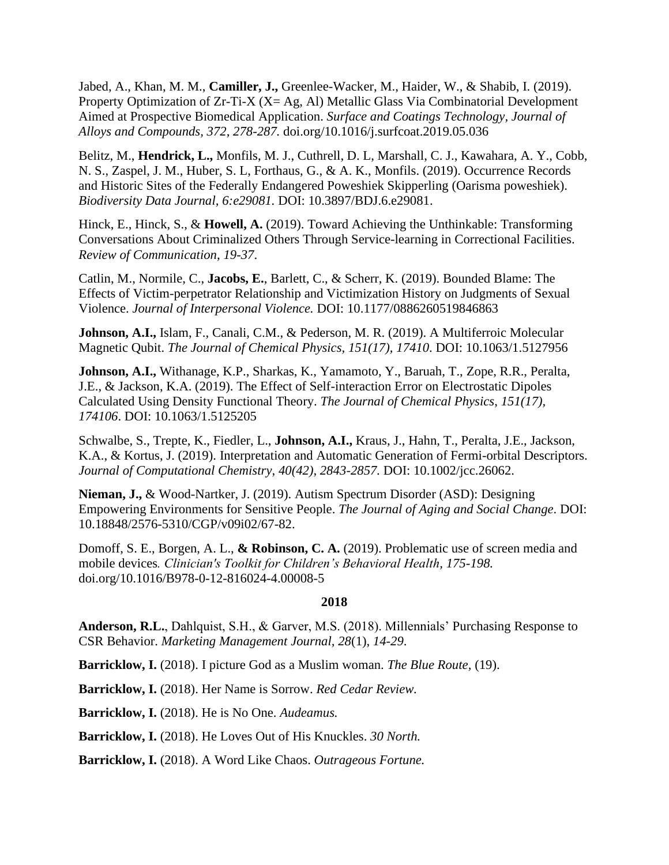Jabed, A., Khan, M. M., **Camiller, J.,** Greenlee-Wacker, M., Haider, W., & Shabib, I. (2019). Property Optimization of  $Zr-Ti-X$  ( $X=Ag$ , Al) Metallic Glass Via Combinatorial Development Aimed at Prospective Biomedical Application. *Surface and Coatings Technology, Journal of Alloys and Compounds, 372, 278-287.* doi.org/10.1016/j.surfcoat.2019.05.036

Belitz, M., **Hendrick, L.,** Monfils, M. J., Cuthrell, D. L, Marshall, C. J., Kawahara, A. Y., Cobb, N. S., Zaspel, J. M., Huber, S. L, Forthaus, G., & A. K., Monfils. (2019). Occurrence Records and Historic Sites of the Federally Endangered Poweshiek Skipperling (Oarisma poweshiek). *Biodiversity Data Journal, 6:e29081.* DOI: 10.3897/BDJ.6.e29081.

Hinck, E., Hinck, S., & **Howell, A.** (2019). Toward Achieving the Unthinkable: Transforming Conversations About Criminalized Others Through Service-learning in Correctional Facilities. *Review of Communication, 19-37*.

Catlin, M., Normile, C., **Jacobs, E.**, Barlett, C., & Scherr, K. (2019). Bounded Blame: The Effects of Victim-perpetrator Relationship and Victimization History on Judgments of Sexual Violence. *Journal of Interpersonal Violence.* DOI: 10.1177/0886260519846863

**Johnson, A.I.,** Islam, F., Canali, C.M., & Pederson, M. R. (2019). A Multiferroic Molecular Magnetic Qubit. *The Journal of Chemical Physics, 151(17), 17410*. DOI: 10.1063/1.5127956

**Johnson, A.I.,** Withanage, K.P., Sharkas, K., Yamamoto, Y., Baruah, T., Zope, R.R., Peralta, J.E., & Jackson, K.A. (2019). The Effect of Self-interaction Error on Electrostatic Dipoles Calculated Using Density Functional Theory. *The Journal of Chemical Physics*, *151(17), 174106*. DOI: 10.1063/1.5125205

Schwalbe, S., Trepte, K., Fiedler, L., **Johnson, A.I.,** Kraus, J., Hahn, T., Peralta, J.E., Jackson, K.A., & Kortus, J. (2019). Interpretation and Automatic Generation of Fermi-orbital Descriptors. *Journal of Computational Chemistry*, *40(42), 2843-2857.* DOI: 10.1002/jcc.26062.

**Nieman, J.,** & Wood-Nartker, J. (2019). Autism Spectrum Disorder (ASD): Designing Empowering Environments for Sensitive People. *The Journal of Aging and Social Change*. DOI: 10.18848/2576-5310/CGP/v09i02/67-82.

Domoff, S. E., Borgen, A. L., **& Robinson, C. A.** (2019). Problematic use of screen media and mobile devices*. Clinician's Toolkit for Children's Behavioral Health, 175-198.*  doi.org/10.1016/B978-0-12-816024-4.00008-5

### **2018**

**Anderson, R.L.**, Dahlquist, S.H., & Garver, M.S. (2018). Millennials' Purchasing Response to CSR Behavior. *Marketing Management Journal, 28*(1), *14-29*.

**Barricklow, I.** (2018). I picture God as a Muslim woman. *The Blue Route,* (19).

**Barricklow, I.** (2018). Her Name is Sorrow. *Red Cedar Review.*

**Barricklow, I.** (2018). He is No One. *Audeamus.*

**Barricklow, I.** (2018). He Loves Out of His Knuckles. *30 North.*

**Barricklow, I.** (2018). A Word Like Chaos. *Outrageous Fortune.*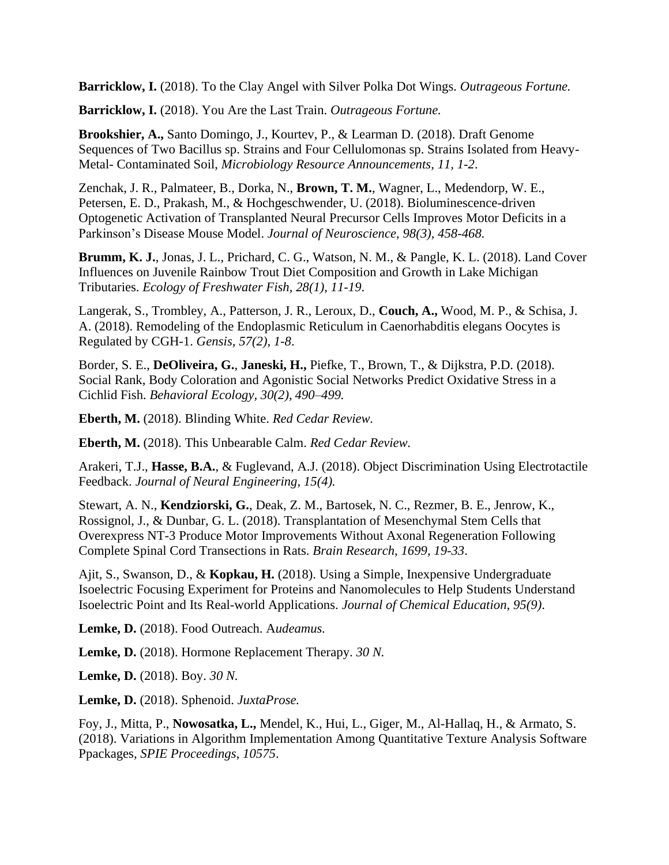**Barricklow, I.** (2018). To the Clay Angel with Silver Polka Dot Wings. *Outrageous Fortune.*

**Barricklow, I.** (2018). You Are the Last Train. *Outrageous Fortune.*

**Brookshier, A.,** Santo Domingo, J., Kourtev, P., & Learman D. (2018). Draft Genome Sequences of Two Bacillus sp. Strains and Four Cellulomonas sp. Strains Isolated from Heavy-Metal- Contaminated Soil, *Microbiology Resource Announcements, 11, 1-2*.

Zenchak, J. R., Palmateer, B., Dorka, N., **Brown, T. M.**, Wagner, L., Medendorp, W. E., Petersen, E. D., Prakash, M., & Hochgeschwender, U. (2018). Bioluminescence-driven Optogenetic Activation of Transplanted Neural Precursor Cells Improves Motor Deficits in a Parkinson's Disease Mouse Model. *Journal of Neuroscience, 98(3), 458-468.*

**Brumm, K. J.**, Jonas, J. L., Prichard, C. G., Watson, N. M., & Pangle, K. L. (2018). Land Cover Influences on Juvenile Rainbow Trout Diet Composition and Growth in Lake Michigan Tributaries. *Ecology of Freshwater Fish, 28(1), 11-19*.

Langerak, S., Trombley, A., Patterson, J. R., Leroux, D., **Couch, A.,** Wood, M. P., & Schisa, J. A. (2018). Remodeling of the Endoplasmic Reticulum in Caenorhabditis elegans Oocytes is Regulated by CGH-1. *Gensis, 57(2), 1-8*.

Border, S. E., **DeOliveira, G.**, **Janeski, H.,** Piefke, T., Brown, T., & Dijkstra, P.D. (2018). Social Rank, Body Coloration and Agonistic Social Networks Predict Oxidative Stress in a Cichlid Fish. *Behavioral Ecology, 30(2), 490–499.*

**Eberth, M.** (2018). Blinding White. *Red Cedar Review.*

**Eberth, M.** (2018). This Unbearable Calm. *Red Cedar Review.*

Arakeri, T.J., **Hasse, B.A.**, & Fuglevand, A.J. (2018). Object Discrimination Using Electrotactile Feedback. *Journal of Neural Engineering, 15(4).*

Stewart, A. N., **Kendziorski, G.**, Deak, Z. M., Bartosek, N. C., Rezmer, B. E., Jenrow, K., Rossignol, J., & Dunbar, G. L. (2018). Transplantation of Mesenchymal Stem Cells that Overexpress NT-3 Produce Motor Improvements Without Axonal Regeneration Following Complete Spinal Cord Transections in Rats. *Brain Research, 1699, 19-33*.

Ajit, S., Swanson, D., & **Kopkau, H.** (2018). Using a Simple, Inexpensive Undergraduate Isoelectric Focusing Experiment for Proteins and Nanomolecules to Help Students Understand Isoelectric Point and Its Real-world Applications. *Journal of Chemical Education, 95(9)*.

**Lemke, D.** (2018). Food Outreach. A*udeamus.*

**Lemke, D.** (2018). Hormone Replacement Therapy. *30 N.*

**Lemke, D.** (2018). Boy. *30 N.*

**Lemke, D.** (2018). Sphenoid. *JuxtaProse.*

Foy, J., Mitta, P., **Nowosatka, L.,** Mendel, K., Hui, L., Giger, M., Al-Hallaq, H., & Armato, S. (2018). Variations in Algorithm Implementation Among Quantitative Texture Analysis Software Ppackages, *SPIE Proceedings*, *10575*.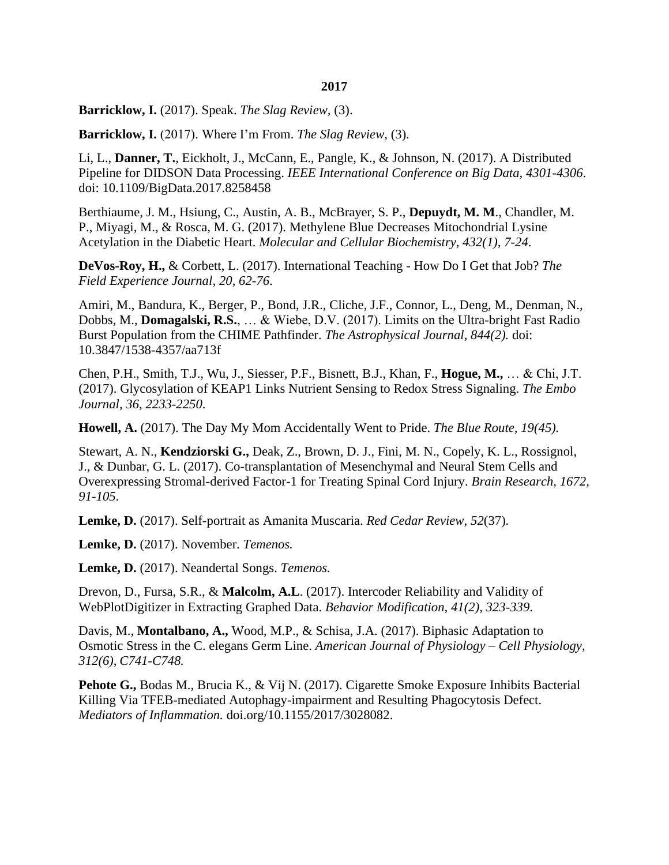#### **2017**

**Barricklow, I.** (2017). Speak. *The Slag Review,* (3).

**Barricklow, I.** (2017). Where I'm From. *The Slag Review,* (3).

Li, L., **Danner, T.**, Eickholt, J., McCann, E., Pangle, K., & Johnson, N. (2017). A Distributed Pipeline for DIDSON Data Processing. *IEEE International Conference on Big Data, 4301-4306*. doi: 10.1109/BigData.2017.8258458

Berthiaume, J. M., Hsiung, C., Austin, A. B., McBrayer, S. P., **Depuydt, M. M**., Chandler, M. P., Miyagi, M., & Rosca, M. G. (2017). Methylene Blue Decreases Mitochondrial Lysine Acetylation in the Diabetic Heart. *Molecular and Cellular Biochemistry, 432(1), 7-24*.

**DeVos-Roy, H.,** & Corbett, L. (2017). International Teaching - How Do I Get that Job? *The Field Experience Journal, 20, 62-76*.

Amiri, M., Bandura, K., Berger, P., Bond, J.R., Cliche, J.F., Connor, L., Deng, M., Denman, N., Dobbs, M., **Domagalski, R.S.**, … & Wiebe, D.V. (2017). Limits on the Ultra-bright Fast Radio Burst Population from the CHIME Pathfinder. *The Astrophysical Journal, 844(2).* doi: 10.3847/1538-4357/aa713f

Chen, P.H., Smith, T.J., Wu, J., Siesser, P.F., Bisnett, B.J., Khan, F., **Hogue, M.,** … & Chi, J.T. (2017). Glycosylation of KEAP1 Links Nutrient Sensing to Redox Stress Signaling. *The Embo Journal, 36*, *2233-2250*.

**Howell, A.** (2017). The Day My Mom Accidentally Went to Pride. *The Blue Route, 19(45).*

Stewart, A. N., **Kendziorski G.,** Deak, Z., Brown, D. J., Fini, M. N., Copely, K. L., Rossignol, J., & Dunbar, G. L. (2017). Co-transplantation of Mesenchymal and Neural Stem Cells and Overexpressing Stromal-derived Factor-1 for Treating Spinal Cord Injury. *Brain Research, 1672, 91-105*.

**Lemke, D.** (2017). Self-portrait as Amanita Muscaria. *Red Cedar Review, 52*(37).

**Lemke, D.** (2017). November. *Temenos.*

**Lemke, D.** (2017). Neandertal Songs. *Temenos.*

Drevon, D., Fursa, S.R., & **Malcolm, A.L**. (2017). Intercoder Reliability and Validity of WebPlotDigitizer in Extracting Graphed Data. *Behavior Modification, 41(2), 323-339*.

Davis, M., **Montalbano, A.,** Wood, M.P., & Schisa, J.A. (2017). Biphasic Adaptation to Osmotic Stress in the C. elegans Germ Line. *American Journal of Physiology – Cell Physiology, 312(6), C741-C748.*

**Pehote G.,** Bodas M., Brucia K., & Vij N. (2017). Cigarette Smoke Exposure Inhibits Bacterial Killing Via TFEB-mediated Autophagy-impairment and Resulting Phagocytosis Defect. *Mediators of Inflammation.* doi.org/10.1155/2017/3028082.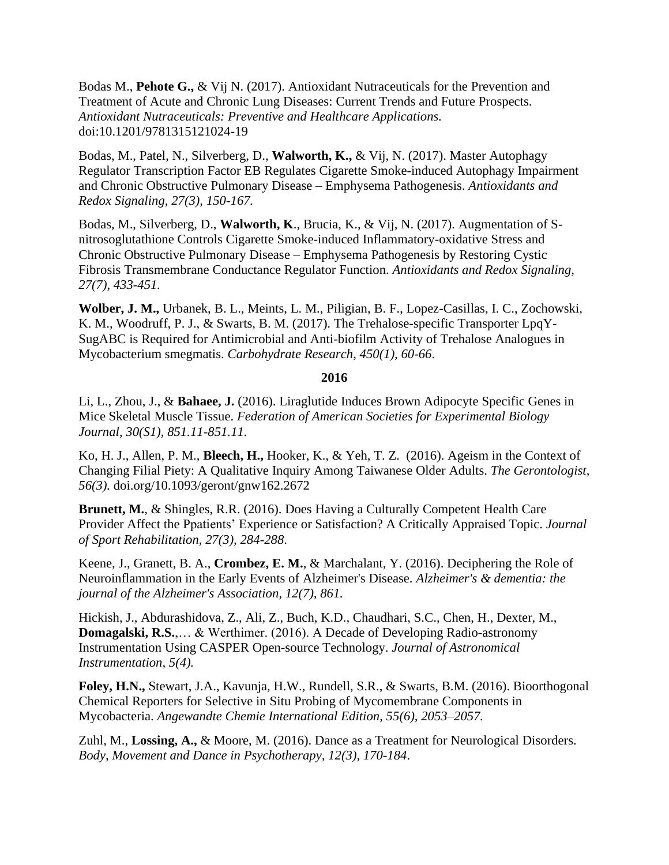Bodas M., **Pehote G.,** & Vij N. (2017). Antioxidant Nutraceuticals for the Prevention and Treatment of Acute and Chronic Lung Diseases: Current Trends and Future Prospects. *Antioxidant Nutraceuticals: Preventive and Healthcare Applications.* doi:10.1201/9781315121024-19

Bodas, M., Patel, N., Silverberg, D., **Walworth, K.,** & Vij, N. (2017). Master Autophagy Regulator Transcription Factor EB Regulates Cigarette Smoke-induced Autophagy Impairment and Chronic Obstructive Pulmonary Disease – Emphysema Pathogenesis. *Antioxidants and Redox Signaling, 27(3), 150-167.*

Bodas, M., Silverberg, D., **Walworth, K**., Brucia, K., & Vij, N. (2017). Augmentation of Snitrosoglutathione Controls Cigarette Smoke-induced Inflammatory-oxidative Stress and Chronic Obstructive Pulmonary Disease – Emphysema Pathogenesis by Restoring Cystic Fibrosis Transmembrane Conductance Regulator Function. *Antioxidants and Redox Signaling, 27(7), 433-451.*

**Wolber, J. M.,** Urbanek, B. L., Meints, L. M., Piligian, B. F., Lopez-Casillas, I. C., Zochowski, K. M., Woodruff, P. J., & Swarts, B. M. (2017). The Trehalose-specific Transporter LpqY-SugABC is Required for Antimicrobial and Anti-biofilm Activity of Trehalose Analogues in Mycobacterium smegmatis. *Carbohydrate Research, 450(1), 60-66*.

### **2016**

Li, L., Zhou, J., & **Bahaee, J.** (2016). Liraglutide Induces Brown Adipocyte Specific Genes in Mice Skeletal Muscle Tissue. *Federation of American Societies for Experimental Biology Journal, 30(S1), 851.11-851.11.*

Ko, H. J., Allen, P. M., **Bleech, H.,** Hooker, K., & Yeh, T. Z. (2016). Ageism in the Context of Changing Filial Piety: A Qualitative Inquiry Among Taiwanese Older Adults. *The Gerontologist, 56(3).* doi.org/10.1093/geront/gnw162.2672

**Brunett, M.**, & Shingles, R.R. (2016). Does Having a Culturally Competent Health Care Provider Affect the Ppatients' Experience or Satisfaction? A Critically Appraised Topic. *Journal of Sport Rehabilitation, 27(3), 284-288*.

Keene, J., Granett, B. A., **Crombez, E. M.**, & Marchalant, Y. (2016). Deciphering the Role of Neuroinflammation in the Early Events of Alzheimer's Disease. *Alzheimer's & dementia: the journal of the Alzheimer's Association, 12(7), 861.*

Hickish, J., Abdurashidova, Z., Ali, Z., Buch, K.D., Chaudhari, S.C., Chen, H., Dexter, M., **Domagalski, R.S.**,… & Werthimer. (2016). A Decade of Developing Radio-astronomy Instrumentation Using CASPER Open-source Technology. *Journal of Astronomical Instrumentation, 5(4).*

**Foley, H.N.,** Stewart, J.A., Kavunja, H.W., Rundell, S.R., & Swarts, B.M. (2016). Bioorthogonal Chemical Reporters for Selective in Situ Probing of Mycomembrane Components in Mycobacteria. *Angewandte Chemie International Edition, 55(6), 2053–2057.*

Zuhl, M., **Lossing, A.,** & Moore, M. (2016). Dance as a Treatment for Neurological Disorders. *Body, Movement and Dance in Psychotherapy, 12(3), 170-184*.